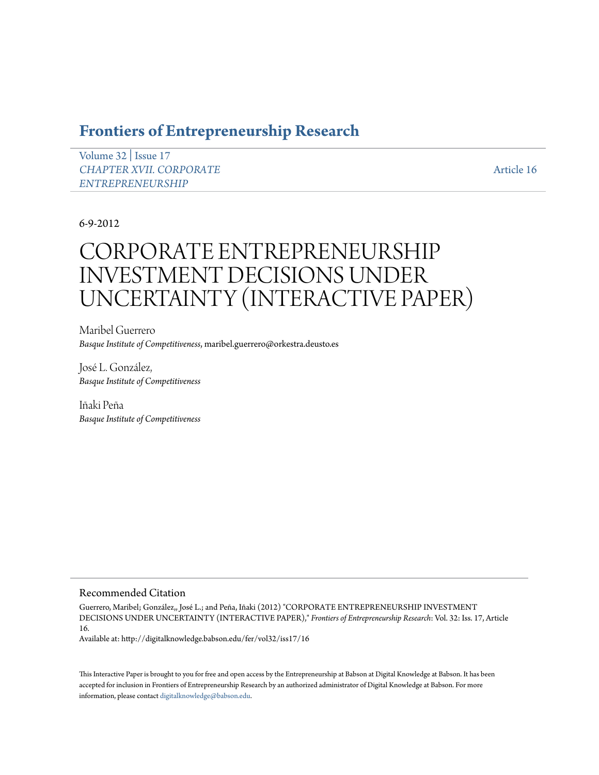# **[Frontiers of Entrepreneurship Research](http://digitalknowledge.babson.edu/fer)**

[Volume 32](http://digitalknowledge.babson.edu/fer/vol32) | [Issue 17](http://digitalknowledge.babson.edu/fer/vol32/iss17) *[CHAPTER XVII. CORPORATE](http://digitalknowledge.babson.edu/fer/vol32/iss17) [ENTREPRENEURSHIP](http://digitalknowledge.babson.edu/fer/vol32/iss17)*

[Article 16](http://digitalknowledge.babson.edu/fer/vol32/iss17/16)

# 6-9-2012

# CORPORATE ENTREPRENEURSHIP INVESTMENT DECISIONS UNDER UNCERTAINTY (INTERACTIVE PAPER)

Maribel Guerrero *Basque Institute of Competitiveness*, maribel.guerrero@orkestra.deusto.es

José L. González, *Basque Institute of Competitiveness*

Iñaki Peña *Basque Institute of Competitiveness*

### Recommended Citation

Guerrero, Maribel; González,, José L.; and Peña, Iñaki (2012) "CORPORATE ENTREPRENEURSHIP INVESTMENT DECISIONS UNDER UNCERTAINTY (INTERACTIVE PAPER)," *Frontiers of Entrepreneurship Research*: Vol. 32: Iss. 17, Article 16.

Available at: http://digitalknowledge.babson.edu/fer/vol32/iss17/16

This Interactive Paper is brought to you for free and open access by the Entrepreneurship at Babson at Digital Knowledge at Babson. It has been accepted for inclusion in Frontiers of Entrepreneurship Research by an authorized administrator of Digital Knowledge at Babson. For more information, please contact [digitalknowledge@babson.edu.](mailto:digitalknowledge@babson.edu)